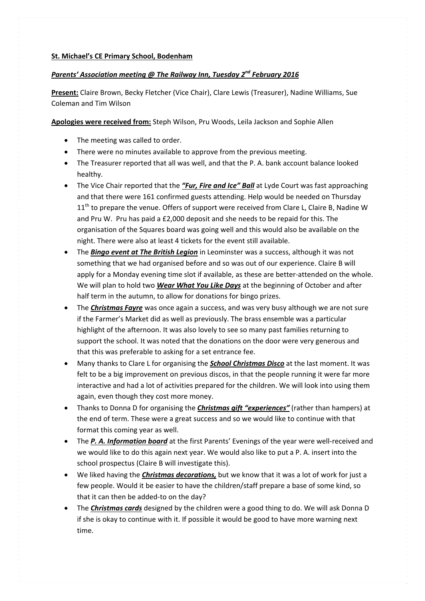## *Parents' Association meeting @ The Railway Inn, Tuesday 2nd February 2016*

**Present:** Claire Brown, Becky Fletcher (Vice Chair), Clare Lewis (Treasurer), Nadine Williams, Sue Coleman and Tim Wilson

**Apologies were received from:** Steph Wilson, Pru Woods, Leila Jackson and Sophie Allen

- The meeting was called to order.
- There were no minutes available to approve from the previous meeting.
- The Treasurer reported that all was well, and that the P. A. bank account balance looked healthy.
- The Vice Chair reported that the *"Fur, Fire and Ice" Ball* at Lyde Court was fast approaching and that there were 161 confirmed guests attending. Help would be needed on Thursday  $11<sup>th</sup>$  to prepare the venue. Offers of support were received from Clare L, Claire B, Nadine W and Pru W. Pru has paid a £2,000 deposit and she needs to be repaid for this. The organisation of the Squares board was going well and this would also be available on the night. There were also at least 4 tickets for the event still available.
- The *Bingo event at The British Legion* in Leominster was a success, although it was not something that we had organised before and so was out of our experience. Claire B will apply for a Monday evening time slot if available, as these are better-attended on the whole. We will plan to hold two *Wear What You Like Days* at the beginning of October and after half term in the autumn, to allow for donations for bingo prizes.
- The *Christmas Fayre* was once again a success, and was very busy although we are not sure if the Farmer's Market did as well as previously. The brass ensemble was a particular highlight of the afternoon. It was also lovely to see so many past families returning to support the school. It was noted that the donations on the door were very generous and that this was preferable to asking for a set entrance fee.
- Many thanks to Clare L for organising the *School Christmas Disco* at the last moment. It was felt to be a big improvement on previous discos, in that the people running it were far more interactive and had a lot of activities prepared for the children. We will look into using them again, even though they cost more money.
- Thanks to Donna D for organising the *Christmas gift "experiences"* (rather than hampers) at the end of term. These were a great success and so we would like to continue with that format this coming year as well.
- The *P. A. Information board* at the first Parents' Evenings of the year were well‐received and we would like to do this again next year. We would also like to put a P. A. insert into the school prospectus (Claire B will investigate this).
- We liked having the *Christmas decorations,* but we know that it was a lot of work for just a few people. Would it be easier to have the children/staff prepare a base of some kind, so that it can then be added‐to on the day?
- The *Christmas cards* designed by the children were a good thing to do. We will ask Donna D if she is okay to continue with it. If possible it would be good to have more warning next time.